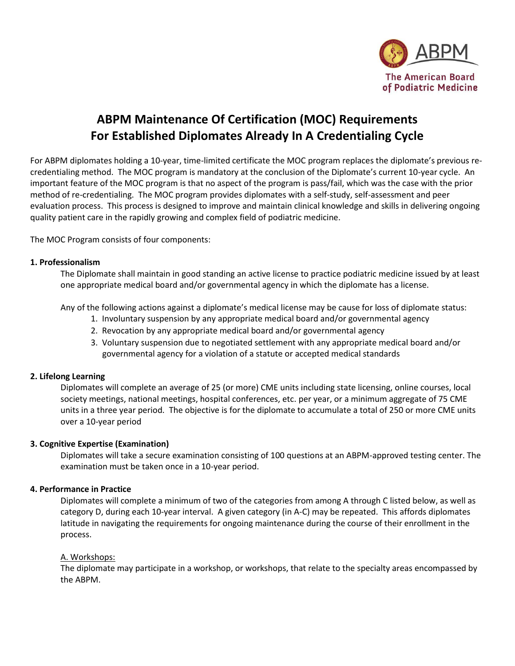

# **ABPM Maintenance Of Certification (MOC) Requirements For Established Diplomates Already In A Credentialing Cycle**

For ABPM diplomates holding a 10-year, time-limited certificate the MOC program replaces the diplomate's previous recredentialing method. The MOC program is mandatory at the conclusion of the Diplomate's current 10-year cycle. An important feature of the MOC program is that no aspect of the program is pass/fail, which was the case with the prior method of re-credentialing. The MOC program provides diplomates with a self-study, self-assessment and peer evaluation process. This process is designed to improve and maintain clinical knowledge and skills in delivering ongoing quality patient care in the rapidly growing and complex field of podiatric medicine.

The MOC Program consists of four components:

### **1. Professionalism**

The Diplomate shall maintain in good standing an active license to practice podiatric medicine issued by at least one appropriate medical board and/or governmental agency in which the diplomate has a license.

Any of the following actions against a diplomate's medical license may be cause for loss of diplomate status:

- 1. Involuntary suspension by any appropriate medical board and/or governmental agency
- 2. Revocation by any appropriate medical board and/or governmental agency
- 3. Voluntary suspension due to negotiated settlement with any appropriate medical board and/or governmental agency for a violation of a statute or accepted medical standards

#### **2. Lifelong Learning**

Diplomates will complete an average of 25 (or more) CME units including state licensing, online courses, local society meetings, national meetings, hospital conferences, etc. per year, or a minimum aggregate of 75 CME units in a three year period. The objective is for the diplomate to accumulate a total of 250 or more CME units over a 10-year period

#### **3. Cognitive Expertise (Examination)**

Diplomates will take a secure examination consisting of 100 questions at an ABPM-approved testing center. The examination must be taken once in a 10-year period.

#### **4. Performance in Practice**

Diplomates will complete a minimum of two of the categories from among A through C listed below, as well as category D, during each 10-year interval. A given category (in A-C) may be repeated. This affords diplomates latitude in navigating the requirements for ongoing maintenance during the course of their enrollment in the process.

#### A. Workshops:

The diplomate may participate in a workshop, or workshops, that relate to the specialty areas encompassed by the ABPM.